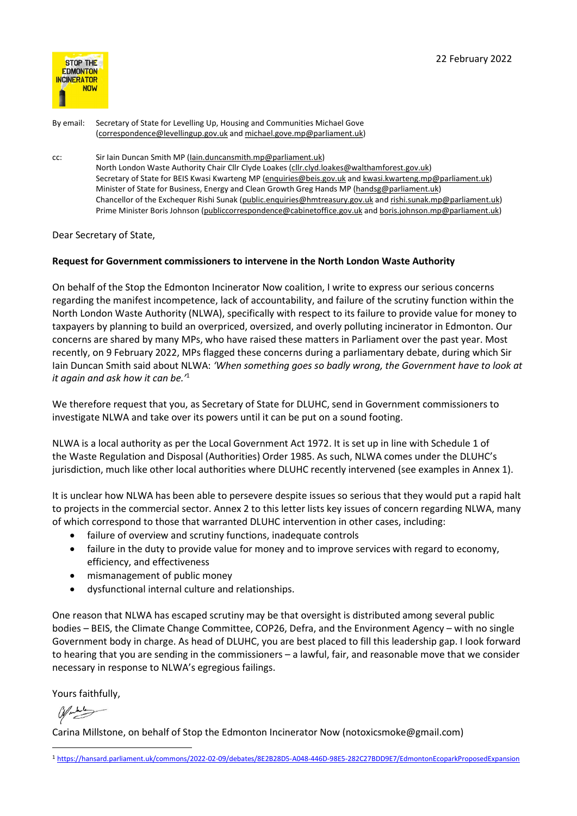

By email: Secretary of State for Levelling Up, Housing and Communities Michael Gove (correspondence@levellingup.gov.uk and michael.gove.mp@parliament.uk)

cc: Sir Iain Duncan Smith MP (Iain.duncansmith.mp@parliament.uk) North London Waste Authority Chair Cllr Clyde Loakes (cllr.clyd.loakes@walthamforest.gov.uk) Secretary of State for BEIS Kwasi Kwarteng MP (enquiries@beis.gov.uk and kwasi.kwarteng.mp@parliament.uk) Minister of State for Business, Energy and Clean Growth Greg Hands MP (handsg@parliament.uk) Chancellor of the Exchequer Rishi Sunak (public.enquiries@hmtreasury.gov.uk and rishi.sunak.mp@parliament.uk) Prime Minister Boris Johnson (publiccorrespondence@cabinetoffice.gov.uk and boris.johnson.mp@parliament.uk)

Dear Secretary of State,

## Request for Government commissioners to intervene in the North London Waste Authority

On behalf of the Stop the Edmonton Incinerator Now coalition, I write to express our serious concerns regarding the manifest incompetence, lack of accountability, and failure of the scrutiny function within the North London Waste Authority (NLWA), specifically with respect to its failure to provide value for money to taxpayers by planning to build an overpriced, oversized, and overly polluting incinerator in Edmonton. Our concerns are shared by many MPs, who have raised these matters in Parliament over the past year. Most recently, on 9 February 2022, MPs flagged these concerns during a parliamentary debate, during which Sir Iain Duncan Smith said about NLWA: 'When something goes so badly wrong, the Government have to look at it again and ask how it can be.'<sup>1</sup>

We therefore request that you, as Secretary of State for DLUHC, send in Government commissioners to investigate NLWA and take over its powers until it can be put on a sound footing.

NLWA is a local authority as per the Local Government Act 1972. It is set up in line with Schedule 1 of the Waste Regulation and Disposal (Authorities) Order 1985. As such, NLWA comes under the DLUHC's jurisdiction, much like other local authorities where DLUHC recently intervened (see examples in Annex 1).

It is unclear how NLWA has been able to persevere despite issues so serious that they would put a rapid halt to projects in the commercial sector. Annex 2 to this letter lists key issues of concern regarding NLWA, many of which correspond to those that warranted DLUHC intervention in other cases, including:

- failure of overview and scrutiny functions, inadequate controls
- failure in the duty to provide value for money and to improve services with regard to economy, efficiency, and effectiveness
- mismanagement of public money
- dysfunctional internal culture and relationships.

One reason that NLWA has escaped scrutiny may be that oversight is distributed among several public bodies – BEIS, the Climate Change Committee, COP26, Defra, and the Environment Agency – with no single Government body in charge. As head of DLUHC, you are best placed to fill this leadership gap. I look forward to hearing that you are sending in the commissioners – a lawful, fair, and reasonable move that we consider necessary in response to NLWA's egregious failings.

Yours faithfully,

Carina Millstone, on behalf of Stop the Edmonton Incinerator Now (notoxicsmoke@gmail.com)

<sup>1</sup> https://hansard.parliament.uk/commons/2022-02-09/debates/8E2B28D5-A048-446D-98E5-282C27BDD9E7/EdmontonEcoparkProposedExpansion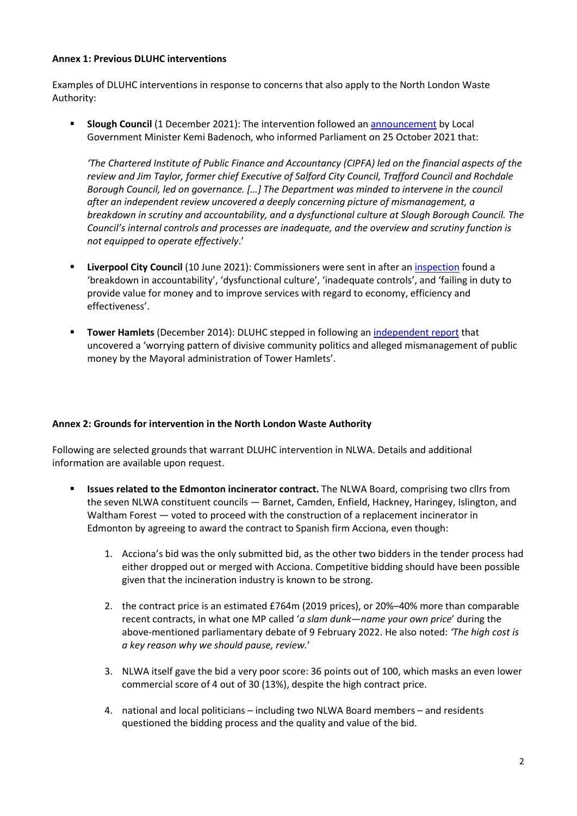## Annex 1: Previous DLUHC interventions

Examples of DLUHC interventions in response to concerns that also apply to the North London Waste Authority:

**Slough Council** (1 December 2021): The intervention followed an announcement by Local Government Minister Kemi Badenoch, who informed Parliament on 25 October 2021 that:

'The Chartered Institute of Public Finance and Accountancy (CIPFA) led on the financial aspects of the review and Jim Taylor, former chief Executive of Salford City Council, Trafford Council and Rochdale Borough Council, led on governance. […] The Department was minded to intervene in the council after an independent review uncovered a deeply concerning picture of mismanagement, a breakdown in scrutiny and accountability, and a dysfunctional culture at Slough Borough Council. The Council's internal controls and processes are inadequate, and the overview and scrutiny function is not equipped to operate effectively.'

- Liverpool City Council (10 June 2021): Commissioners were sent in after an inspection found a 'breakdown in accountability', 'dysfunctional culture', 'inadequate controls', and 'failing in duty to provide value for money and to improve services with regard to economy, efficiency and effectiveness'.
- **Tower Hamlets** (December 2014): DLUHC stepped in following an independent report that uncovered a 'worrying pattern of divisive community politics and alleged mismanagement of public money by the Mayoral administration of Tower Hamlets'.

## Annex 2: Grounds for intervention in the North London Waste Authority

Following are selected grounds that warrant DLUHC intervention in NLWA. Details and additional information are available upon request.

- Issues related to the Edmonton incinerator contract. The NLWA Board, comprising two cllrs from the seven NLWA constituent councils — Barnet, Camden, Enfield, Hackney, Haringey, Islington, and Waltham Forest — voted to proceed with the construction of a replacement incinerator in Edmonton by agreeing to award the contract to Spanish firm Acciona, even though:
	- 1. Acciona's bid was the only submitted bid, as the other two bidders in the tender process had either dropped out or merged with Acciona. Competitive bidding should have been possible given that the incineration industry is known to be strong.
	- 2. the contract price is an estimated £764m (2019 prices), or 20%–40% more than comparable recent contracts, in what one MP called 'a slam dunk—name your own price' during the above-mentioned parliamentary debate of 9 February 2022. He also noted: 'The high cost is a key reason why we should pause, review.'
	- 3. NLWA itself gave the bid a very poor score: 36 points out of 100, which masks an even lower commercial score of 4 out of 30 (13%), despite the high contract price.
	- 4. national and local politicians including two NLWA Board members and residents questioned the bidding process and the quality and value of the bid.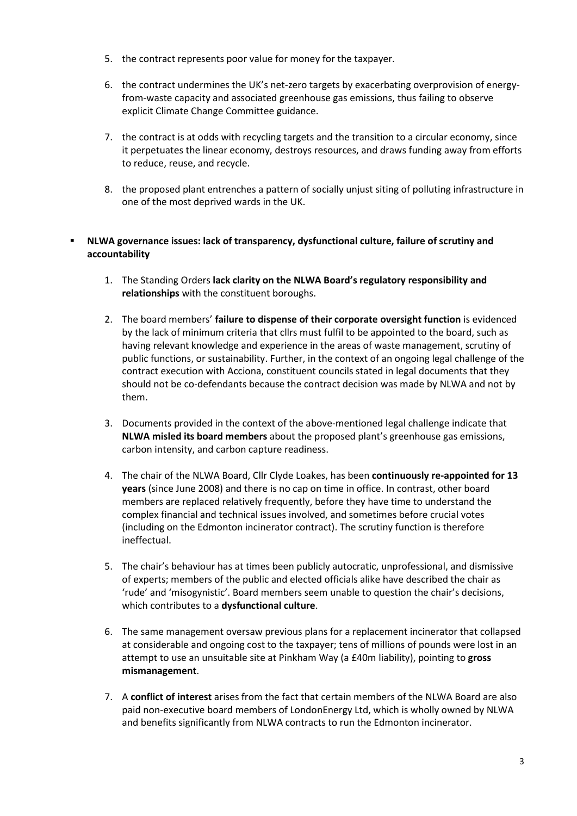- 5. the contract represents poor value for money for the taxpayer.
- 6. the contract undermines the UK's net-zero targets by exacerbating overprovision of energyfrom-waste capacity and associated greenhouse gas emissions, thus failing to observe explicit Climate Change Committee guidance.
- 7. the contract is at odds with recycling targets and the transition to a circular economy, since it perpetuates the linear economy, destroys resources, and draws funding away from efforts to reduce, reuse, and recycle.
- 8. the proposed plant entrenches a pattern of socially unjust siting of polluting infrastructure in one of the most deprived wards in the UK.

## NLWA governance issues: lack of transparency, dysfunctional culture, failure of scrutiny and accountability

- 1. The Standing Orders lack clarity on the NLWA Board's regulatory responsibility and relationships with the constituent boroughs.
- 2. The board members' failure to dispense of their corporate oversight function is evidenced by the lack of minimum criteria that cllrs must fulfil to be appointed to the board, such as having relevant knowledge and experience in the areas of waste management, scrutiny of public functions, or sustainability. Further, in the context of an ongoing legal challenge of the contract execution with Acciona, constituent councils stated in legal documents that they should not be co-defendants because the contract decision was made by NLWA and not by them.
- 3. Documents provided in the context of the above-mentioned legal challenge indicate that NLWA misled its board members about the proposed plant's greenhouse gas emissions, carbon intensity, and carbon capture readiness.
- 4. The chair of the NLWA Board, Cllr Clyde Loakes, has been continuously re-appointed for 13 years (since June 2008) and there is no cap on time in office. In contrast, other board members are replaced relatively frequently, before they have time to understand the complex financial and technical issues involved, and sometimes before crucial votes (including on the Edmonton incinerator contract). The scrutiny function is therefore ineffectual.
- 5. The chair's behaviour has at times been publicly autocratic, unprofessional, and dismissive of experts; members of the public and elected officials alike have described the chair as 'rude' and 'misogynistic'. Board members seem unable to question the chair's decisions, which contributes to a dysfunctional culture.
- 6. The same management oversaw previous plans for a replacement incinerator that collapsed at considerable and ongoing cost to the taxpayer; tens of millions of pounds were lost in an attempt to use an unsuitable site at Pinkham Way (a £40m liability), pointing to gross mismanagement.
- 7. A conflict of interest arises from the fact that certain members of the NLWA Board are also paid non-executive board members of LondonEnergy Ltd, which is wholly owned by NLWA and benefits significantly from NLWA contracts to run the Edmonton incinerator.